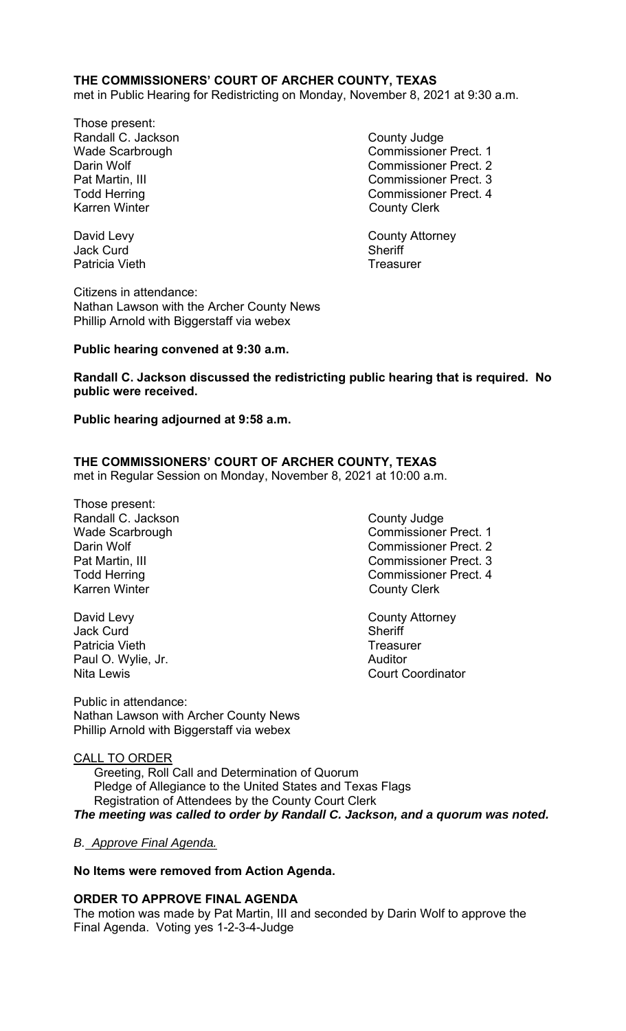## **THE COMMISSIONERS' COURT OF ARCHER COUNTY, TEXAS**

met in Public Hearing for Redistricting on Monday, November 8, 2021 at 9:30 a.m.

Those present: Randall C. Jackson **County Judge County Judge** Karren Winter **County Clerk** 

Wade Scarbrough Commissioner Prect. 1 Darin Wolf Commissioner Prect. 2 Pat Martin, III Commissioner Prect. 3 Todd Herring Todd Exercise Commissioner Prect. 4

David Levy **County Attorney** 

Jack Curd **Sheriff** Patricia Vieth **Treasurer** Treasurer

Citizens in attendance: Nathan Lawson with the Archer County News Phillip Arnold with Biggerstaff via webex

#### **Public hearing convened at 9:30 a.m.**

**Randall C. Jackson discussed the redistricting public hearing that is required. No public were received.** 

#### **Public hearing adjourned at 9:58 a.m.**

## **THE COMMISSIONERS' COURT OF ARCHER COUNTY, TEXAS**

met in Regular Session on Monday, November 8, 2021 at 10:00 a.m.

Those present: Randall C. Jackson County Judge Karren Winter **County Clerk** 

David Levy **County Attorney** Jack Curd **Sheriff** Patricia Vieth **Treasurer** Treasurer Paul O. Wylie, Jr. **Auditor Paul O. Wylie, Jr. Auditor** 

Public in attendance: Nathan Lawson with Archer County News Phillip Arnold with Biggerstaff via webex

# CALL TO ORDER

 Greeting, Roll Call and Determination of Quorum Pledge of Allegiance to the United States and Texas Flags Registration of Attendees by the County Court Clerk *The meeting was called to order by Randall C. Jackson, and a quorum was noted.* 

#### *B. Approve Final Agenda.*

#### **No Items were removed from Action Agenda.**

#### **ORDER TO APPROVE FINAL AGENDA**

The motion was made by Pat Martin, III and seconded by Darin Wolf to approve the Final Agenda. Voting yes 1-2-3-4-Judge

- Wade Scarbrough Commissioner Prect. 1 Darin Wolf **Commissioner Prect.** 2 Pat Martin, III Commissioner Prect. 3 Todd Herring Todd Herring Commissioner Prect. 4
- Nita Lewis Court Coordinator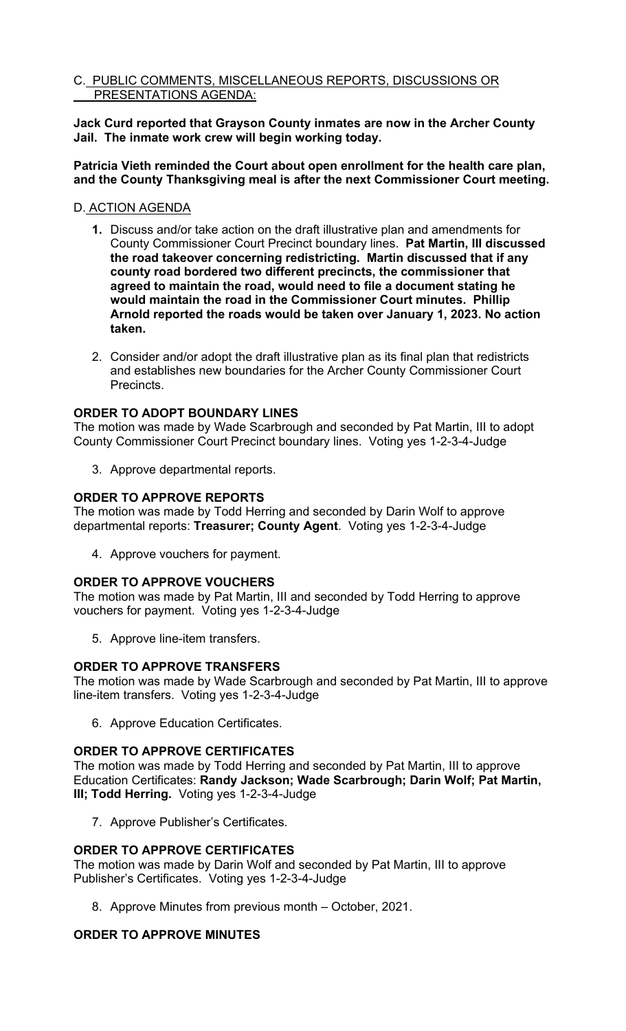## C. PUBLIC COMMENTS, MISCELLANEOUS REPORTS, DISCUSSIONS OR PRESENTATIONS AGENDA:

**Jack Curd reported that Grayson County inmates are now in the Archer County Jail. The inmate work crew will begin working today.** 

**Patricia Vieth reminded the Court about open enrollment for the health care plan, and the County Thanksgiving meal is after the next Commissioner Court meeting.** 

## D. ACTION AGENDA

- **1.** Discuss and/or take action on the draft illustrative plan and amendments for County Commissioner Court Precinct boundary lines. **Pat Martin, III discussed the road takeover concerning redistricting. Martin discussed that if any county road bordered two different precincts, the commissioner that agreed to maintain the road, would need to file a document stating he would maintain the road in the Commissioner Court minutes. Phillip Arnold reported the roads would be taken over January 1, 2023. No action taken.**
- 2. Consider and/or adopt the draft illustrative plan as its final plan that redistricts and establishes new boundaries for the Archer County Commissioner Court Precincts.

## **ORDER TO ADOPT BOUNDARY LINES**

The motion was made by Wade Scarbrough and seconded by Pat Martin, III to adopt County Commissioner Court Precinct boundary lines. Voting yes 1-2-3-4-Judge

3. Approve departmental reports.

## **ORDER TO APPROVE REPORTS**

The motion was made by Todd Herring and seconded by Darin Wolf to approve departmental reports: **Treasurer; County Agent**. Voting yes 1-2-3-4-Judge

4. Approve vouchers for payment.

## **ORDER TO APPROVE VOUCHERS**

The motion was made by Pat Martin, III and seconded by Todd Herring to approve vouchers for payment. Voting yes 1-2-3-4-Judge

5. Approve line-item transfers.

## **ORDER TO APPROVE TRANSFERS**

The motion was made by Wade Scarbrough and seconded by Pat Martin, III to approve line-item transfers. Voting yes 1-2-3-4-Judge

6. Approve Education Certificates.

#### **ORDER TO APPROVE CERTIFICATES**

The motion was made by Todd Herring and seconded by Pat Martin, III to approve Education Certificates: **Randy Jackson; Wade Scarbrough; Darin Wolf; Pat Martin, III; Todd Herring.** Voting yes 1-2-3-4-Judge

7. Approve Publisher's Certificates.

## **ORDER TO APPROVE CERTIFICATES**

The motion was made by Darin Wolf and seconded by Pat Martin, III to approve Publisher's Certificates. Voting yes 1-2-3-4-Judge

8. Approve Minutes from previous month – October, 2021.

## **ORDER TO APPROVE MINUTES**